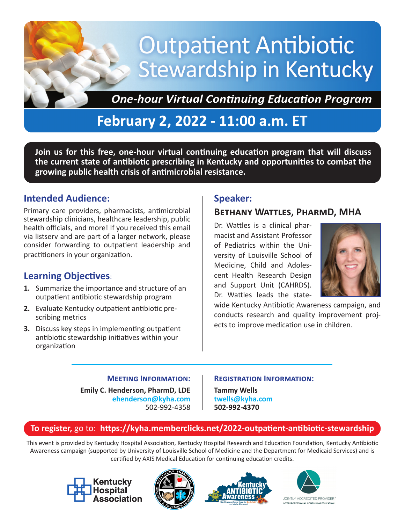# **Outpatient Antibiotic** Stewardship in Kentucky

**One-hour Virtual Continuing Education Program** 

# **February 2, 2022 - 11:00 a.m. ET**

**Join us for this free, one-hour virtual continuing education program that will discuss the current state of antibiotic prescribing in Kentucky and opportunities to combat the growing public health crisis of antimicrobial resistance.**

## **Intended Audience:**

Primary care providers, pharmacists, antimicrobial stewardship clinicians, healthcare leadership, public health officials, and more! If you received this email via listserv and are part of a larger network, please consider forwarding to outpatient leadership and practitioners in your organization.

# **Learning Objectives**:

- **1.** Summarize the importance and structure of an outpatient antibiotic stewardship program
- **2.** Evaluate Kentucky outpatient antibiotic prescribing metrics
- **3.** Discuss key steps in implementing outpatient antibiotic stewardship initiatives within your organization

# **Speaker:**

# **Bethany Wattles, PharmD, MHA**

Dr. Wattles is a clinical pharmacist and Assistant Professor of Pediatrics within the University of Louisville School of Medicine, Child and Adolescent Health Research Design and Support Unit (CAHRDS). Dr. Wattles leads the state-



wide Kentucky Antibiotic Awareness campaign, and conducts research and quality improvement projects to improve medication use in children.

#### **Meeting Information:**

**Emily C. Henderson, PharmD, LDE ehenderson@kyha.com** 502-992-4358

#### **Registration Information:**

**Tammy Wells twells@kyha.com 502-992-4370**

## **To register,** go to: **https://kyha.memberclicks.net/2022-outpatient-antibiotic-stewardship**

This event is provided by Kentucky Hospital Association, Kentucky Hospital Research and Education Foundation, Kentucky Antibiotic Awareness campaign (supported by University of Louisville School of Medicine and the Department for Medicaid Services) and is certified by AXIS Medical Education for continuing education credits.







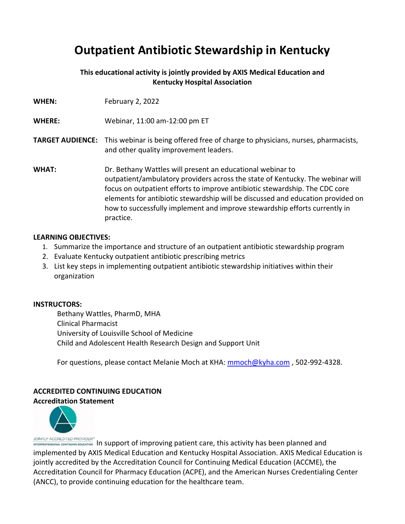# **Outpatient Antibiotic Stewardship in Kentucky**

#### **This educational activity is jointly provided by AXIS Medical Education and Kentucky Hospital Association**

| <b>WHEN:</b>            | February 2, 2022                                                                                                                                                                                                                                                                                                                                                                                          |
|-------------------------|-----------------------------------------------------------------------------------------------------------------------------------------------------------------------------------------------------------------------------------------------------------------------------------------------------------------------------------------------------------------------------------------------------------|
| <b>WHERE:</b>           | Webinar, 11:00 am-12:00 pm ET                                                                                                                                                                                                                                                                                                                                                                             |
| <b>TARGET AUDIENCE:</b> | This webinar is being offered free of charge to physicians, nurses, pharmacists,<br>and other quality improvement leaders.                                                                                                                                                                                                                                                                                |
| <b>WHAT:</b>            | Dr. Bethany Wattles will present an educational webinar to<br>outpatient/ambulatory providers across the state of Kentucky. The webinar will<br>focus on outpatient efforts to improve antibiotic stewardship. The CDC core<br>elements for antibiotic stewardship will be discussed and education provided on<br>how to successfully implement and improve stewardship efforts currently in<br>practice. |

#### **LEARNING OBJECTIVES:**

- 1. Summarize the importance and structure of an outpatient antibiotic stewardship program
- 2. Evaluate Kentucky outpatient antibiotic prescribing metrics
- 3. List key steps in implementing outpatient antibiotic stewardship initiatives within their organization

#### **INSTRUCTORS:**

Bethany Wattles, PharmD, MHA Clinical Pharmacist University of Louisville School of Medicine Child and Adolescent Health Research Design and Support Unit

For questions, please contact Melanie Moch at KHA: mmoch@kyha.com , 502‐992‐4328.

#### **ACCREDITED CONTINUING EDUCATION Accreditation Statement**



JOINTLY ACCREDITED PROVIDER<sup>®</sup><br>Intersections continuum continuum continuum care in In support of improving patient care, this activity has been planned and implemented by AXIS Medical Education and Kentucky Hospital Association. AXIS Medical Education is jointly accredited by the Accreditation Council for Continuing Medical Education (ACCME), the Accreditation Council for Pharmacy Education (ACPE), and the American Nurses Credentialing Center (ANCC), to provide continuing education for the healthcare team.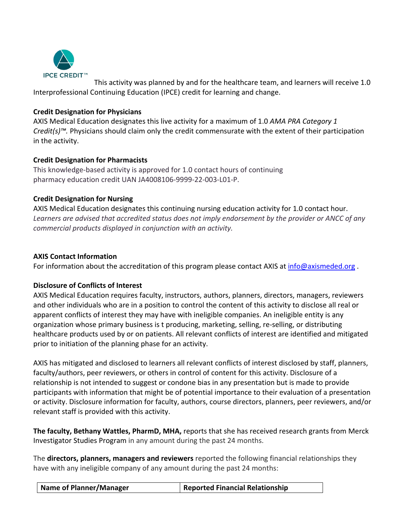

This activity was planned by and for the healthcare team, and learners will receive 1.0 Interprofessional Continuing Education (IPCE) credit for learning and change.

#### **Credit Designation for Physicians**

AXIS Medical Education designates this live activity for a maximum of 1.0 *AMA PRA Category 1 Credit(s)™.* Physicians should claim only the credit commensurate with the extent of their participation in the activity.

#### **Credit Designation for Pharmacists**

This knowledge‐based activity is approved for 1.0 contact hours of continuing pharmacy education credit UAN JA4008106‐9999‐22‐003‐L01‐P.

#### **Credit Designation for Nursing**

AXIS Medical Education designates this continuing nursing education activity for 1.0 contact hour. *Learners are advised that accredited status does not imply endorsement by the provider or ANCC of any commercial products displayed in conjunction with an activity.*

#### **AXIS Contact Information**

For information about the accreditation of this program please contact AXIS at info@axismeded.org.

#### **Disclosure of Conflicts of Interest**

AXIS Medical Education requires faculty, instructors, authors, planners, directors, managers, reviewers and other individuals who are in a position to control the content of this activity to disclose all real or apparent conflicts of interest they may have with ineligible companies. An ineligible entity is any organization whose primary business is t producing, marketing, selling, re‐selling, or distributing healthcare products used by or on patients. All relevant conflicts of interest are identified and mitigated prior to initiation of the planning phase for an activity.

AXIS has mitigated and disclosed to learners all relevant conflicts of interest disclosed by staff, planners, faculty/authors, peer reviewers, or others in control of content for this activity. Disclosure of a relationship is not intended to suggest or condone bias in any presentation but is made to provide participants with information that might be of potential importance to their evaluation of a presentation or activity. Disclosure information for faculty, authors, course directors, planners, peer reviewers, and/or relevant staff is provided with this activity.

**The faculty, Bethany Wattles, PharmD, MHA,** reports that she has received research grants from Merck Investigator Studies Program in any amount during the past 24 months.

The **directors, planners, managers and reviewers** reported the following financial relationships they have with any ineligible company of any amount during the past 24 months: